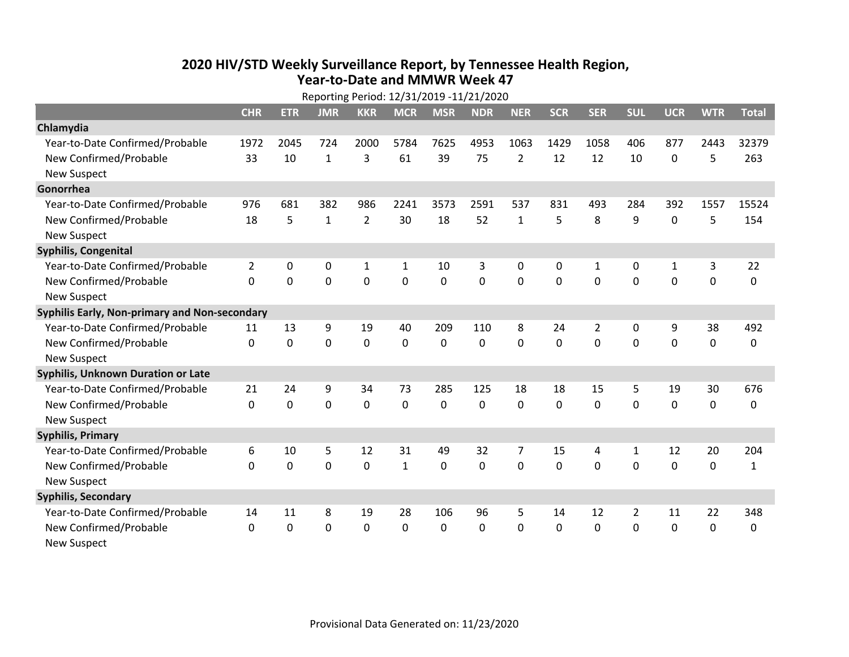## **2020 HIV /STD Weekly Surveillance Report, by Tennessee Health Region, Year‐to‐Date and MMWR Week 47** Reporting Period: 12/31/2019 ‐11/21/2020

| Reporting Period: 12/31/2019 -11/21/2020      |                |             |                |                |              |             |            |                |            |                |                |              |             |              |
|-----------------------------------------------|----------------|-------------|----------------|----------------|--------------|-------------|------------|----------------|------------|----------------|----------------|--------------|-------------|--------------|
|                                               | <b>CHR</b>     | <b>ETR</b>  | <b>JMR</b>     | <b>KKR</b>     | <b>MCR</b>   | <b>MSR</b>  | <b>NDR</b> | <b>NER</b>     | <b>SCR</b> | <b>SER</b>     | <b>SUL</b>     | <b>UCR</b>   | <b>WTR</b>  | <b>Total</b> |
| Chlamydia                                     |                |             |                |                |              |             |            |                |            |                |                |              |             |              |
| Year-to-Date Confirmed/Probable               | 1972           | 2045        | 724            | 2000           | 5784         | 7625        | 4953       | 1063           | 1429       | 1058           | 406            | 877          | 2443        | 32379        |
| New Confirmed/Probable                        | 33             | 10          | $\mathbf{1}$   | 3              | 61           | 39          | 75         | $\overline{2}$ | 12         | 12             | 10             | 0            | 5           | 263          |
| <b>New Suspect</b>                            |                |             |                |                |              |             |            |                |            |                |                |              |             |              |
| Gonorrhea                                     |                |             |                |                |              |             |            |                |            |                |                |              |             |              |
| Year-to-Date Confirmed/Probable               | 976            | 681         | 382            | 986            | 2241         | 3573        | 2591       | 537            | 831        | 493            | 284            | 392          | 1557        | 15524        |
| New Confirmed/Probable                        | 18             | 5           | $\mathbf{1}$   | $\overline{2}$ | 30           | 18          | 52         | $\mathbf{1}$   | 5          | 8              | 9              | 0            | 5           | 154          |
| <b>New Suspect</b>                            |                |             |                |                |              |             |            |                |            |                |                |              |             |              |
| <b>Syphilis, Congenital</b>                   |                |             |                |                |              |             |            |                |            |                |                |              |             |              |
| Year-to-Date Confirmed/Probable               | $\overline{2}$ | 0           | 0              | $\mathbf{1}$   | 1            | 10          | 3          | 0              | 0          | 1              | 0              | $\mathbf{1}$ | 3           | 22           |
| New Confirmed/Probable                        | $\Omega$       | $\mathbf 0$ | $\mathbf 0$    | $\overline{0}$ | $\mathbf 0$  | $\mathbf 0$ | 0          | $\Omega$       | $\Omega$   | $\mathbf 0$    | $\mathbf 0$    | $\mathbf 0$  | $\mathbf 0$ | 0            |
| <b>New Suspect</b>                            |                |             |                |                |              |             |            |                |            |                |                |              |             |              |
| Syphilis Early, Non-primary and Non-secondary |                |             |                |                |              |             |            |                |            |                |                |              |             |              |
| Year-to-Date Confirmed/Probable               | 11             | 13          | 9              | 19             | 40           | 209         | 110        | 8              | 24         | $\overline{2}$ | 0              | 9            | 38          | 492          |
| New Confirmed/Probable                        | $\Omega$       | $\mathbf 0$ | 0              | 0              | $\mathbf 0$  | $\mathbf 0$ | 0          | $\Omega$       | $\Omega$   | 0              | 0              | $\mathbf 0$  | $\mathbf 0$ | 0            |
| <b>New Suspect</b>                            |                |             |                |                |              |             |            |                |            |                |                |              |             |              |
| <b>Syphilis, Unknown Duration or Late</b>     |                |             |                |                |              |             |            |                |            |                |                |              |             |              |
| Year-to-Date Confirmed/Probable               | 21             | 24          | 9              | 34             | 73           | 285         | 125        | 18             | 18         | 15             | 5              | 19           | 30          | 676          |
| New Confirmed/Probable                        | 0              | $\mathbf 0$ | $\overline{0}$ | 0              | $\mathbf 0$  | 0           | 0          | $\Omega$       | $\Omega$   | 0              | $\mathbf 0$    | 0            | $\mathbf 0$ | 0            |
| <b>New Suspect</b>                            |                |             |                |                |              |             |            |                |            |                |                |              |             |              |
| <b>Syphilis, Primary</b>                      |                |             |                |                |              |             |            |                |            |                |                |              |             |              |
| Year-to-Date Confirmed/Probable               | 6              | 10          | 5              | 12             | 31           | 49          | 32         | $\overline{7}$ | 15         | 4              | 1              | 12           | 20          | 204          |
| New Confirmed/Probable                        | $\mathbf{0}$   | $\mathbf 0$ | 0              | 0              | $\mathbf{1}$ | 0           | 0          | $\mathbf 0$    | 0          | 0              | 0              | $\mathbf 0$  | $\mathbf 0$ | $\mathbf{1}$ |
| <b>New Suspect</b>                            |                |             |                |                |              |             |            |                |            |                |                |              |             |              |
| <b>Syphilis, Secondary</b>                    |                |             |                |                |              |             |            |                |            |                |                |              |             |              |
| Year-to-Date Confirmed/Probable               | 14             | 11          | 8              | 19             | 28           | 106         | 96         | 5              | 14         | 12             | $\overline{2}$ | 11           | 22          | 348          |
| New Confirmed/Probable                        | $\mathbf{0}$   | 0           | 0              | 0              | $\mathbf{0}$ | $\Omega$    | 0          | $\Omega$       | $\Omega$   | $\Omega$       | $\mathbf{0}$   | $\mathbf{0}$ | 0           | 0            |
| <b>New Suspect</b>                            |                |             |                |                |              |             |            |                |            |                |                |              |             |              |